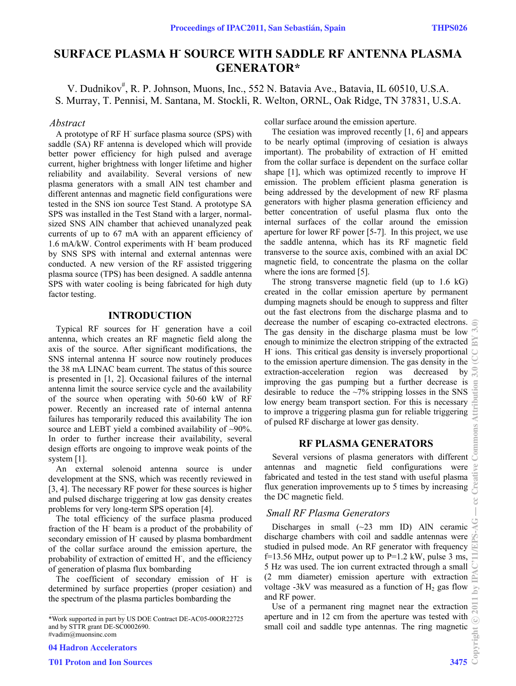# **SURFACE PLASMA H- SOURCE WITH SADDLE RF ANTENNA PLASMA GENERATOR\***

V. Dudnikov<sup>#</sup>, R. P. Johnson, Muons, Inc., 552 N. Batavia Ave., Batavia, IL 60510, U.S.A. S. Murray, T. Pennisi, M. Santana, M. Stockli, R. Welton, ORNL, Oak Ridge, TN 37831, U.S.A.

#### *Abstract*

A prototype of RF H<sup>-</sup> surface plasma source (SPS) with saddle (SA) RF antenna is developed which will provide better power efficiency for high pulsed and average current, higher brightness with longer lifetime and higher reliability and availability. Several versions of new plasma generators with a small AlN test chamber and different antennas and magnetic field configurations were tested in the SNS ion source Test Stand. A prototype SA SPS was installed in the Test Stand with a larger, normalsized SNS AlN chamber that achieved unanalyzed peak currents of up to 67 mA with an apparent efficiency of 1.6 mA/kW. Control experiments with H- beam produced by SNS SPS with internal and external antennas were conducted. A new version of the RF assisted triggering plasma source (TPS) has been designed. A saddle antenna SPS with water cooling is being fabricated for high duty factor testing.

### **INTRODUCTION**

Typical RF sources for H- generation have a coil antenna, which creates an RF magnetic field along the axis of the source. After significant modifications, the SNS internal antenna H<sup>-</sup> source now routinely produces the 38 mA LINAC beam current. The status of this source is presented in [1, 2]. Occasional failures of the internal antenna limit the source service cycle and the availability of the source when operating with 50-60 kW of RF power. Recently an increased rate of internal antenna failures has temporarily reduced this availability The ion source and LEBT yield a combined availability of ~90%. In order to further increase their availability, several design efforts are ongoing to improve weak points of the system [1].

An external solenoid antenna source is under development at the SNS, which was recently reviewed in [3, 4]. The necessary RF power for these sources is higher and pulsed discharge triggering at low gas density creates problems for very long-term SPS operation [4].

The total efficiency of the surface plasma produced fraction of the H- beam is a product of the probability of secondary emission of H<sup>-</sup> caused by plasma bombardment of the collar surface around the emission aperture, the probability of extraction of emitted H<sup>-</sup>, and the efficiency of generation of plasma flux bombarding

The coefficient of secondary emission of H<sup>-</sup> is determined by surface properties (proper cesiation) and the spectrum of the plasma particles bombarding the

04 Hadron Accelerators

collar surface around the emission aperture.

The cesiation was improved recently [1, 6] and appears to be nearly optimal (improving of cesiation is always important). The probability of extraction of H<sup>-</sup> emitted from the collar surface is dependent on the surface collar shape [1], which was optimized recently to improve Hemission. The problem efficient plasma generation is being addressed by the development of new RF plasma generators with higher plasma generation efficiency and better concentration of useful plasma flux onto the internal surfaces of the collar around the emission aperture for lower RF power [5-7]. In this project, we use the saddle antenna, which has its RF magnetic field transverse to the source axis, combined with an axial DC magnetic field, to concentrate the plasma on the collar where the ions are formed [5].

The strong transverse magnetic field (up to 1.6 kG) created in the collar emission aperture by permanent dumping magnets should be enough to suppress and filter out the fast electrons from the discharge plasma and to decrease the number of escaping co-extracted electrons. The gas density in the discharge plasma must be low enough to minimize the electron stripping of the extracted  $\approx$ H<sup>-</sup> ions. This critical gas density is inversely proportional to the emission aperture dimension. The gas density in the extraction-acceleration region was decreased by improving the gas pumping but a further decrease is desirable to reduce the  $\sim$ 7% stripping losses in the SNS low energy beam transport section. For this is necessary to improve a triggering plasma gun for reliable triggering of pulsed RF discharge at lower gas density.

# **RF PLASMA GENERATORS**

Several versions of plasma generators with different antennas and magnetic field configurations were fabricated and tested in the test stand with useful plasma flux generation improvements up to 5 times by increasing the DC magnetic field.

### *Small RF Plasma Generators*

Discharges in small  $(\sim 23$  mm ID) AlN ceramic discharge chambers with coil and saddle antennas were studied in pulsed mode. An RF generator with frequency f=13.56 MHz, output power up to  $P=1.2$  kW, pulse 3 ms, 5 Hz was used. The ion current extracted through a small (2 mm diameter) emission aperture with extraction voltage -3kV was measured as a function of  $H_2$  gas flow and RF power.

Use of a permanent ring magnet near the extraction aperture and in 12 cm from the aperture was tested with small coil and saddle type antennas. The ring magnetic  $\frac{1}{2}$ <br> $\frac{1}{2}$ <br>3475  $\frac{1}{2}$ 

<sup>\*</sup>Work supported in part by US DOE Contract DE-AC05-00OR22725 and by STTR grant DE-SC0002690. #vadim@muonsinc.com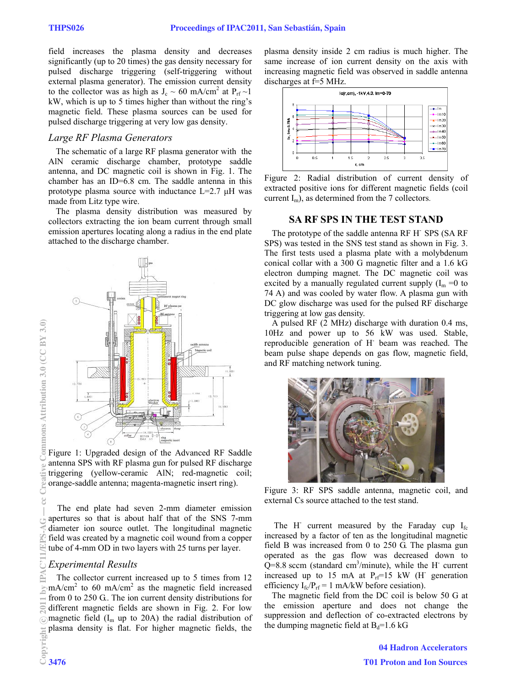field increases the plasma density and decreases significantly (up to 20 times) the gas density necessary for pulsed discharge triggering (self-triggering without external plasma generator). The emission current density to the collector was as high as  $J_c \sim 60 \text{ mA/cm}^2$  at  $P_{rf} \sim 1$ kW, which is up to 5 times higher than without the ring's magnetic field. These plasma sources can be used for pulsed discharge triggering at very low gas density.

#### *Large RF Plasma Generators*

The schematic of a large RF plasma generator with the AlN ceramic discharge chamber, prototype saddle antenna, and DC magnetic coil is shown in Fig. 1. The chamber has an ID=6.8 cm. The saddle antenna in this prototype plasma source with inductance L=2.7 μH was made from Litz type wire.

The plasma density distribution was measured by collectors extracting the ion beam current through small emission apertures locating along a radius in the end plate attached to the discharge chamber.



Figure 1: Upgraded design of the Advanced RF Saddle antenna SPS with RF plasma gun for pulsed RF discharge triggering (yellow-ceramic AlN; red-magnetic coil; orange-saddle antenna; magenta-magnetic insert ring).

The end plate had seven 2-mm diameter emission apertures so that is about half that of the SNS 7-mm diameter ion source outlet. The longitudinal magnetic field was created by a magnetic coil wound from a copper tube of 4-mm OD in two layers with 25 turns per layer.

## *Experimental Results*

The collector current increased up to 5 times from 12  $mA/cm<sup>2</sup>$  to 60 mA/cm<sup>2</sup> as the magnetic field increased from 0 to 250 G.. The ion current density distributions for different magnetic fields are shown in Fig. 2. For low magnetic field  $(I_m \text{ up to } 20\text{A})$  the radial distribution of plasma density is flat. For higher magnetic fields, the

plasma density inside 2 cm radius is much higher. The same increase of ion current density on the axis with increasing magnetic field was observed in saddle antenna discharges at f=5 MHz.



Figure 2: Radial distribution of current density of extracted positive ions for different magnetic fields (coil current  $I_m$ ), as determined from the 7 collectors.

#### **SA RF SPS IN THE TEST STAND**

The prototype of the saddle antenna RF H- SPS (SA RF SPS) was tested in the SNS test stand as shown in Fig. 3. The first tests used a plasma plate with a molybdenum conical collar with a 300 G magnetic filter and a 1.6 kG electron dumping magnet. The DC magnetic coil was excited by a manually regulated current supply  $(I_m = 0$  to 74 A) and was cooled by water flow. A plasma gun with DC glow discharge was used for the pulsed RF discharge triggering at low gas density.

A pulsed RF (2 MHz) discharge with duration 0.4 ms, 10Hz and power up to 56 kW was used. Stable, reproducible generation of H- beam was reached. The beam pulse shape depends on gas flow, magnetic field, and RF matching network tuning.



Figure 3: RF SPS saddle antenna, magnetic coil, and external Cs source attached to the test stand.

The H<sup>-</sup> current measured by the Faraday cup  $I_{fc}$ increased by a factor of ten as the longitudinal magnetic field B was increased from 0 to 250 G. The plasma gun operated as the gas flow was decreased down to  $Q=8.8$  sccm (standard cm<sup>3</sup>/minute), while the H<sup>-</sup> current increased up to 15 mA at  $P_{rf}$ =15 kW (H<sup>-</sup> generation efficiency  $I_{fc}/P_{rf} = 1$  mA/kW before cesiation).

The magnetic field from the DC coil is below 50 G at the emission aperture and does not change the suppression and deflection of co-extracted electrons by the dumping magnetic field at  $B_d=1.6$  kG

> 04 Hadron Accelerators T01 Proton and Ion Sources